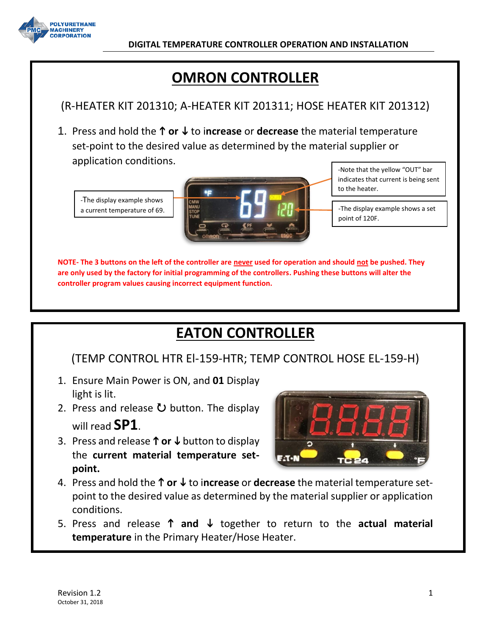

# **OMRON CONTROLLER**

# (R-HEATER KIT 201310; A-HEATER KIT 201311; HOSE HEATER KIT 201312)

1. Press and hold the **↑ or ↓** to increase or decrease the material temperature set-point to the desired value as determined by the material supplier or application conditions.

-The display example shows a current temperature of 69.



-Note that the yellow "OUT" bar indicates that current is being sent to the heater.

-The display example shows a set point of 120F.

**NOTE- The 3 buttons on the left of the controller are never used for operation and should not be pushed. They are only used by the factory for initial programming of the controllers. Pushing these buttons will alter the controller program values causing incorrect equipment function.**

# **EATON CONTROLLER**

## (TEMP CONTROL HTR El-159-HTR; TEMP CONTROL HOSE EL-159-H)

- 1. Ensure Main Power is ON, and **01** Display light is lit.
- 2. Press and release  $\bullet$  button. The display will read **SP1**.
- 3. Press and release  $\uparrow$  or  $\downarrow$  button to display the **current material temperature setpoint.**



- 4. Press and hold the **↑ or ↓** to increase or decrease the material temperature setpoint to the desired value as determined by the material supplier or application conditions.
- 5. Press and release  $\uparrow$  and  $\downarrow$  together to return to the actual material **temperature** in the Primary Heater/Hose Heater.